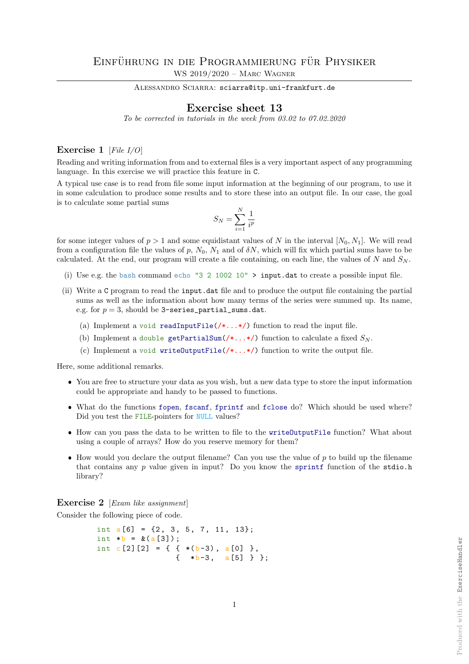ALESSANDRO SCIARRA: sciarra@itp.uni-frankfurt.de

## Exercise sheet 13

To be corrected in tutorials in the week from 03.02 to 07.02.2020

## Exercise 1 [File I/O]

Reading and writing information from and to external files is a very important aspect of any programming language. In this exercise we will practice this feature in C.

A typical use case is to read from file some input information at the beginning of our program, to use it in some calculation to produce some results and to store these into an output file. In our case, the goal is to calculate some partial sums

$$
S_N = \sum_{i=1}^N \frac{1}{i^p}
$$

for some integer values of  $p > 1$  and some equidistant values of N in the interval  $[N_0, N_1]$ . We will read from a configuration file the values of p,  $N_0$ ,  $N_1$  and of  $\delta N$ , which will fix which partial sums have to be calculated. At the end, our program will create a file containing, on each line, the values of N and  $S_N$ .

- (i) Use e.g. the bash command echo "3 2 1002 10" > input.dat to create a possible input file.
- (ii) Write a C program to read the input.dat file and to produce the output file containing the partial sums as well as the information about how many terms of the series were summed up. Its name, e.g. for  $p = 3$ , should be 3-series\_partial\_sums.dat.
	- (a) Implement a void readInputFile( $/\ast$ ... $\ast$ ) function to read the input file.
	- (b) Implement a double getPartialSum( $\ell^*$ ...\*/) function to calculate a fixed  $S_N$ .
	- (c) Implement a void writeOutputFile( $/\ast$ ...\*/) function to write the output file.

Here, some additional remarks.

- You are free to structure your data as you wish, but a new data type to store the input information could be appropriate and handy to be passed to functions.
- What do the functions fopen, fscanf, fprintf and fclose do? Which should be used where? Did you test the FILE-pointers for NULL values?
- How can you pass the data to be written to file to the writeOutputFile function? What about using a couple of arrays? How do you reserve memory for them?
- $\bullet$  How would you declare the output filename? Can you use the value of p to build up the filename that contains any  $p$  value given in input? Do you know the sprintf function of the stdio.h library?

Exercise 2 [*Exam like assignment*]

Consider the following piece of code.

```
int a[6] = \{2, 3, 5, 7, 11, 13\};int *b = \&(a[3]);
int c [2] [2] = \{ \{ * (b-3), a[0] \} \},
                  \{ *b-3, a[5] \}:
```